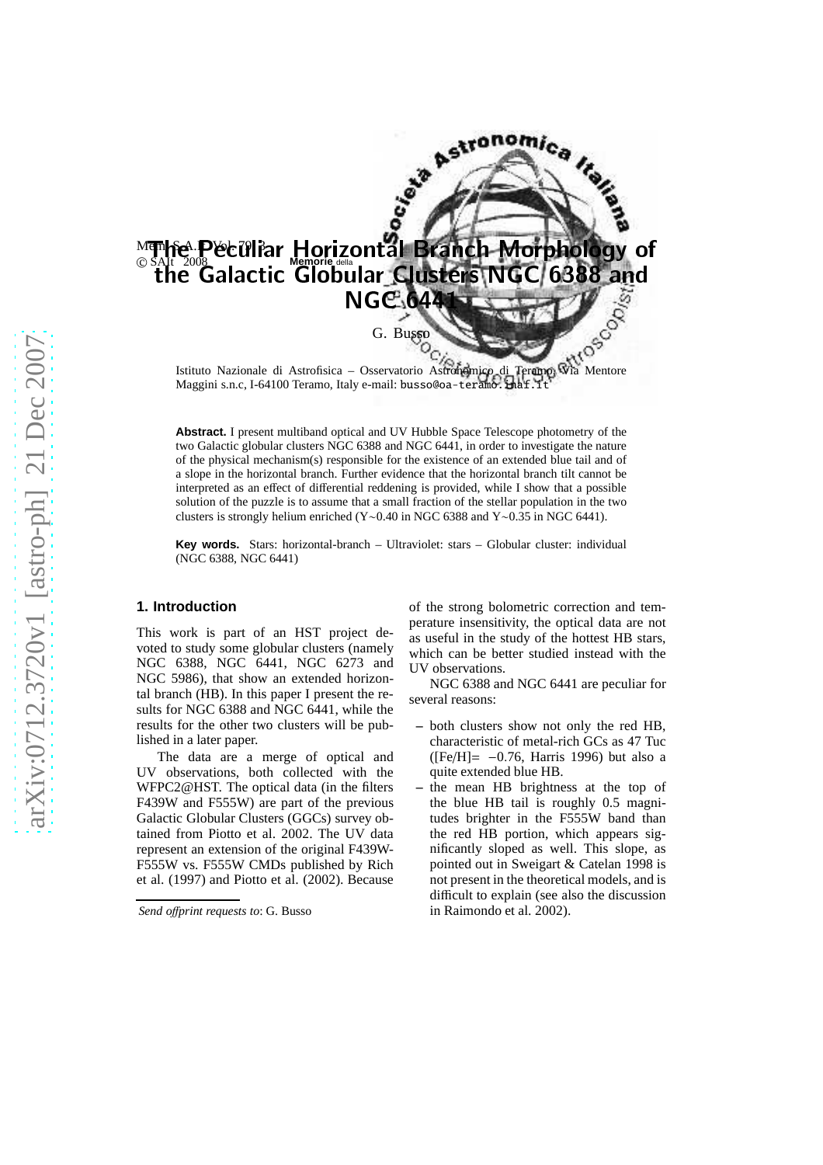

Maggini s.n.c, I-64100 Teramo, Italy e-mail: busso@oa-teramo.inaf.it

**Abstract.** I present multiband optical and UV Hubble Space Telescope photometry of the two Galactic globular clusters NGC 6388 and NGC 6441, in order to investigate the nature of the physical mechanism(s) responsible for the existence of an extended blue tail and of a slope in the horizontal branch. Further evidence that the horizontal branch tilt cannot be interpreted as an effect of differential reddening is provided, while I show that a possible solution of the puzzle is to assume that a small fraction of the stellar population in the two clusters is strongly helium enriched (Y∼0.40 in NGC 6388 and Y∼0.35 in NGC 6441).

**Key words.** Stars: horizontal-branch – Ultraviolet: stars – Globular cluster: individual (NGC 6388, NGC 6441)

### **1. Introduction**

This work is part of an HST project devoted to study some globular clusters (namely NGC 6388, NGC 6441, NGC 6273 and NGC 5986), that show an extended horizontal branch (HB). In this paper I present the results for NGC 6388 and NGC 6441, while the results for the other two clusters will be published in a later paper.

The data are a merge of optical and UV observations, both collected with the WFPC2@HST. The optical data (in the filters F439W and F555W) are part of the previous Galactic Globular Clusters (GGCs) survey obtained from Piotto et al. 2002. The UV data represent an extension of the original F439W-F555W vs. F555W CMDs published by Rich et al. (1997) and Piotto et al. (2002). Because of the strong bolometric correction and temperature insensitivity, the optical data are not as useful in the study of the hottest HB stars, which can be better studied instead with the UV observations.

NGC 6388 and NGC 6441 are peculiar for several reasons:

- **–** both clusters show not only the red HB, characteristic of metal-rich GCs as 47 Tuc ( $[Fe/H] = -0.76$ , Harris 1996) but also a quite extended blue HB.
- **–** the mean HB brightness at the top of the blue HB tail is roughly 0.5 magnitudes brighter in the F555W band than the red HB portion, which appears significantly sloped as well. This slope, as pointed out in Sweigart & Catelan 1998 is not present in the theoretical models, and is difficult to explain (see also the discussion in Raimondo et al. 2002).

*Send o*ff*print requests to*: G. Busso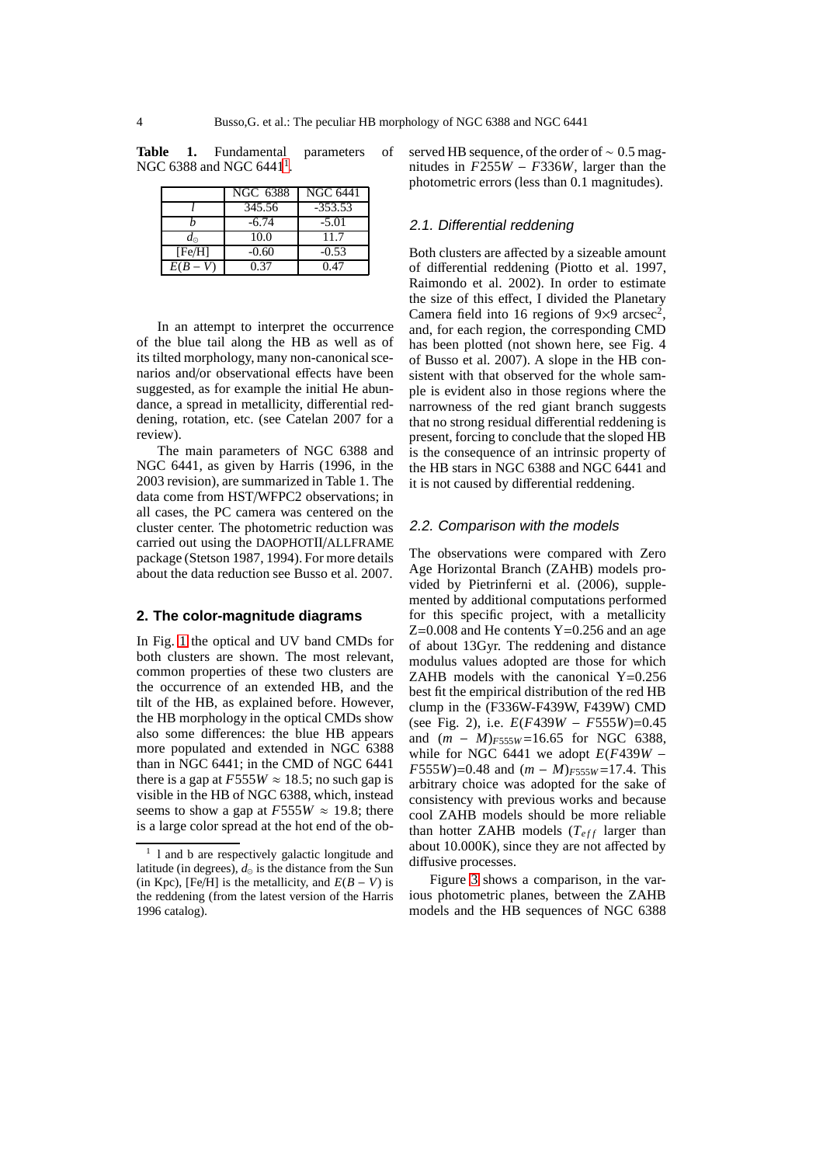**Table 1.** Fundamental parameters of NGC 6388 and NGC 644[1](#page-1-0)<sup>1</sup>.

|             | NGC 6388 | <b>NGC 6441</b> |
|-------------|----------|-----------------|
|             | 345.56   | $-353.53$       |
|             | $-6.74$  | $-5.01$         |
| $d_{\odot}$ | 10.0     | 11.7            |
| [Fe/H]      | $-0.60$  | $-0.53$         |
| $E(B -$     | 0.37     | 0.47            |

In an attempt to interpret the occurrence of the blue tail along the HB as well as of its tilted morphology, many non-canonical scenarios and/or observational effects have been suggested, as for example the initial He abundance, a spread in metallicity, differential reddening, rotation, etc. (see Catelan 2007 for a review).

The main parameters of NGC 6388 and NGC 6441, as given by Harris (1996, in the 2003 revision), are summarized in Table 1. The data come from HST/WFPC2 observations; in all cases, the PC camera was centered on the cluster center. The photometric reduction was carried out using the DAOPHOTII/ALLFRAME package (Stetson 1987, 1994). For more details about the data reduction see Busso et al. 2007.

## **2. The color-magnitude diagrams**

In Fig. [1](#page-2-0) the optical and UV band CMDs for both clusters are shown. The most relevant, common properties of these two clusters are the occurrence of an extended HB, and the tilt of the HB, as explained before. However, the HB morphology in the optical CMDs show also some differences: the blue HB appears more populated and extended in NGC 6388 than in NGC 6441; in the CMD of NGC 6441 there is a gap at  $F555W \approx 18.5$ ; no such gap is visible in the HB of NGC 6388, which, instead seems to show a gap at  $F555W \approx 19.8$ ; there is a large color spread at the hot end of the observed HB sequence, of the order of ∼ 0.5 magnitudes in *F*255*W* − *F*336*W*, larger than the photometric errors (less than 0.1 magnitudes).

# 2.1. Differential reddening

Both clusters are affected by a sizeable amount of differential reddening (Piotto et al. 1997, Raimondo et al. 2002). In order to estimate the size of this effect, I divided the Planetary Camera field into 16 regions of  $9\times9$  arcsec<sup>2</sup>, and, for each region, the corresponding CMD has been plotted (not shown here, see Fig. 4 of Busso et al. 2007). A slope in the HB consistent with that observed for the whole sample is evident also in those regions where the narrowness of the red giant branch suggests that no strong residual differential reddening is present, forcing to conclude that the sloped HB is the consequence of an intrinsic property of the HB stars in NGC 6388 and NGC 6441 and it is not caused by differential reddening.

#### 2.2. Comparison with the models

The observations were compared with Zero Age Horizontal Branch (ZAHB) models provided by Pietrinferni et al. (2006), supplemented by additional computations performed for this specific project, with a metallicity  $Z=0.008$  and He contents  $Y=0.256$  and an age of about 13Gyr. The reddening and distance modulus values adopted are those for which ZAHB models with the canonical  $Y=0.256$ best fit the empirical distribution of the red HB clump in the (F336W-F439W, F439W) CMD (see Fig. 2), i.e. *E*(*F*439*W* − *F*555*W*)=0.45 and (*m* − *M*)*F*555*<sup>W</sup>* =16.65 for NGC 6388, while for NGC 6441 we adopt  $E(F439W -$ *F*555*W*)=0.48 and (*m* − *M*)*F*555*<sup>W</sup>* =17.4. This arbitrary choice was adopted for the sake of consistency with previous works and because cool ZAHB models should be more reliable than hotter ZAHB models  $(T<sub>eff</sub>$  larger than about 10.000K), since they are not affected by diffusive processes.

Figure [3](#page-3-0) shows a comparison, in the various photometric planes, between the ZAHB models and the HB sequences of NGC 6388

<span id="page-1-0"></span><sup>&</sup>lt;sup>1</sup> 1 and b are respectively galactic longitude and latitude (in degrees),  $d_{\odot}$  is the distance from the Sun (in Kpc), [Fe/H] is the metallicity, and  $E(B - V)$  is the reddening (from the latest version of the Harris 1996 catalog).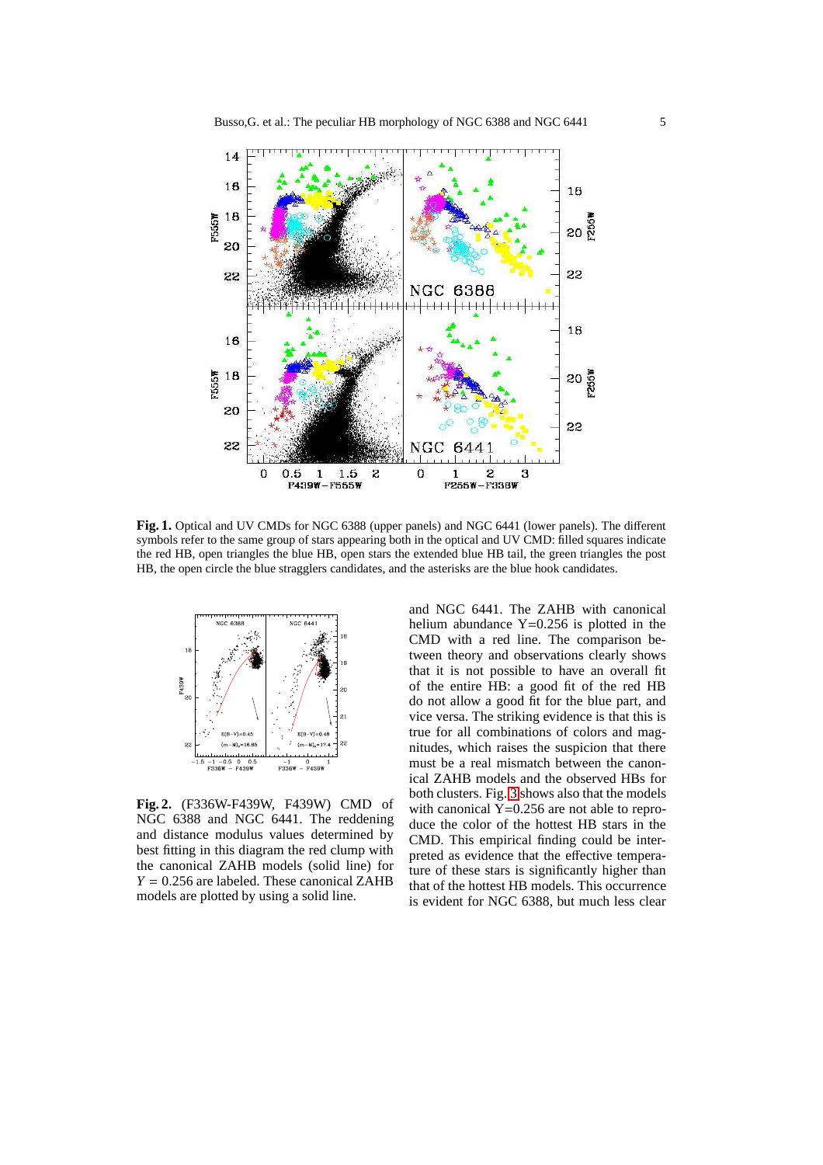

<span id="page-2-0"></span>**Fig. 1.** Optical and UV CMDs for NGC 6388 (upper panels) and NGC 6441 (lower panels). The different symbols refer to the same group of stars appearing both in the optical and UV CMD: filled squares indicate the red HB, open triangles the blue HB, open stars the extended blue HB tail, the green triangles the post HB, the open circle the blue stragglers candidates, and the asterisks are the blue hook candidates.



<span id="page-2-1"></span>**Fig. 2.** (F336W-F439W, F439W) CMD of NGC 6388 and NGC 6441. The reddening and distance modulus values determined by best fitting in this diagram the red clump with the canonical ZAHB models (solid line) for *Y* = 0.256 are labeled. These canonical ZAHB models are plotted by using a solid line.

and NGC 6441. The ZAHB with canonical helium abundance Y=0.256 is plotted in the CMD with a red line. The comparison between theory and observations clearly shows that it is not possible to have an overall fit of the entire HB: a good fit of the red HB do not allow a good fit for the blue part, and vice versa. The striking evidence is that this is true for all combinations of colors and magnitudes, which raises the suspicion that there must be a real mismatch between the canonical ZAHB models and the observed HBs for both clusters. Fig. [3](#page-3-0) shows also that the models with canonical  $Y=0.256$  are not able to reproduce the color of the hottest HB stars in the CMD. This empirical finding could be interpreted as evidence that the effective temperature of these stars is significantly higher than that of the hottest HB models. This occurrence is evident for NGC 6388, but much less clear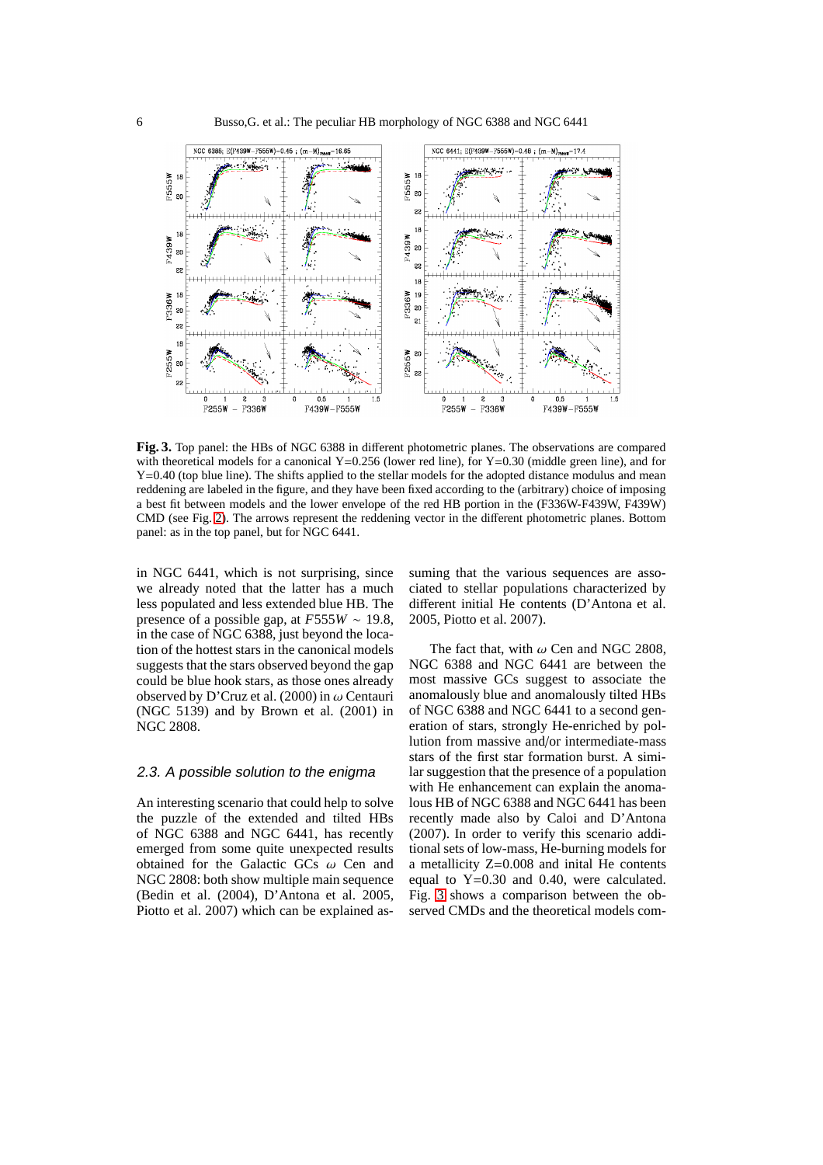

<span id="page-3-0"></span>**Fig. 3.** Top panel: the HBs of NGC 6388 in different photometric planes. The observations are compared with theoretical models for a canonical Y=0.256 (lower red line), for Y=0.30 (middle green line), and for Y=0.40 (top blue line). The shifts applied to the stellar models for the adopted distance modulus and mean reddening are labeled in the figure, and they have been fixed according to the (arbitrary) choice of imposing a best fit between models and the lower envelope of the red HB portion in the (F336W-F439W, F439W) CMD (see Fig. [2\)](#page-2-1). The arrows represent the reddening vector in the different photometric planes. Bottom panel: as in the top panel, but for NGC 6441.

in NGC 6441, which is not surprising, since we already noted that the latter has a much less populated and less extended blue HB. The presence of a possible gap, at *F*555*W* ∼ 19.8, in the case of NGC 6388, just beyond the location of the hottest stars in the canonical models suggests that the stars observed beyond the gap could be blue hook stars, as those ones already observed by D'Cruz et al. (2000) in  $\omega$  Centauri (NGC 5139) and by Brown et al. (2001) in NGC 2808.

#### 2.3. <sup>A</sup> possible solution to the enigma

An interesting scenario that could help to solve the puzzle of the extended and tilted HBs of NGC 6388 and NGC 6441, has recently emerged from some quite unexpected results obtained for the Galactic GCs  $\omega$  Cen and NGC 2808: both show multiple main sequence (Bedin et al. (2004), D'Antona et al. 2005, Piotto et al. 2007) which can be explained assuming that the various sequences are associated to stellar populations characterized by different initial He contents (D'Antona et al. 2005, Piotto et al. 2007).

The fact that, with  $\omega$  Cen and NGC 2808, NGC 6388 and NGC 6441 are between the most massive GCs suggest to associate the anomalously blue and anomalously tilted HBs of NGC 6388 and NGC 6441 to a second generation of stars, strongly He-enriched by pollution from massive and/or intermediate-mass stars of the first star formation burst. A similar suggestion that the presence of a population with He enhancement can explain the anomalous HB of NGC 6388 and NGC 6441 has been recently made also by Caloi and D'Antona (2007). In order to verify this scenario additional sets of low-mass, He-burning models for a metallicity Z=0.008 and inital He contents equal to Y=0.30 and 0.40, were calculated. Fig. [3](#page-3-0) shows a comparison between the observed CMDs and the theoretical models com-